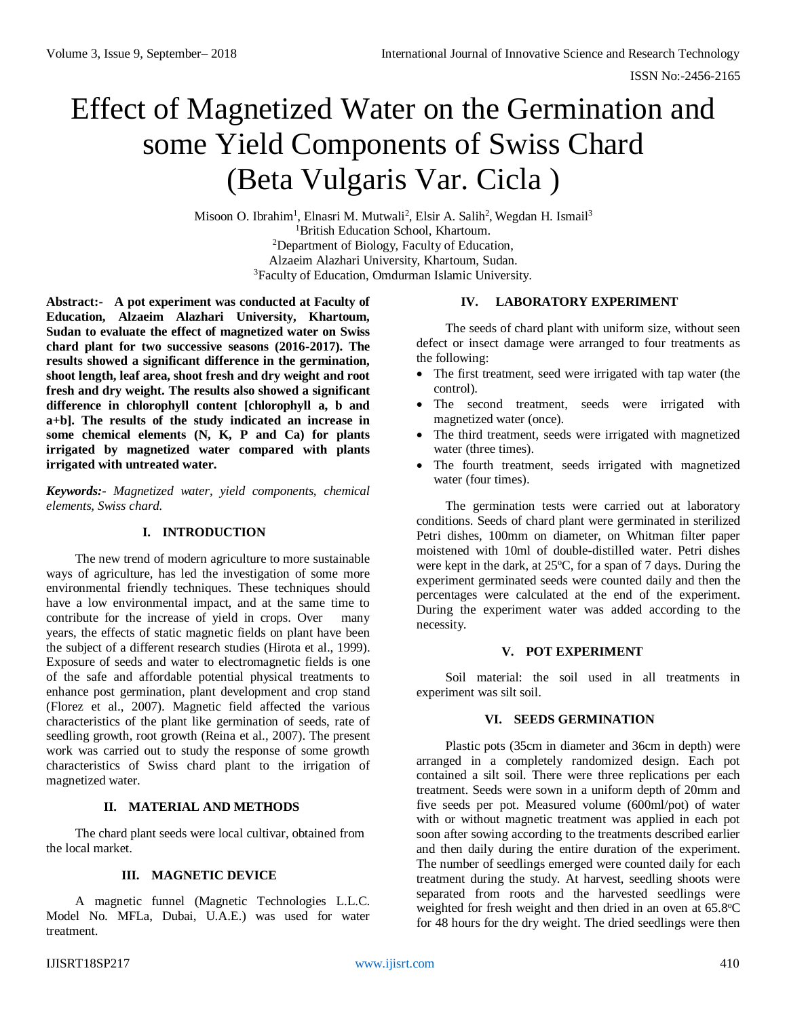# Effect of Magnetized Water on the Germination and some Yield Components of Swiss Chard (Beta Vulgaris Var. Cicla )

Misoon O. Ibrahim<sup>1</sup>, Elnasri M. Mutwali<sup>2</sup>, Elsir A. Salih<sup>2</sup>, Wegdan H. Ismail<sup>3</sup> <sup>1</sup>British Education School, Khartoum. <sup>2</sup>Department of Biology, Faculty of Education, Alzaeim Alazhari University, Khartoum, Sudan. <sup>3</sup>Faculty of Education, Omdurman Islamic University.

**Abstract:- A pot experiment was conducted at Faculty of Education, Alzaeim Alazhari University, Khartoum, Sudan to evaluate the effect of magnetized water on Swiss chard plant for two successive seasons (2016-2017). The results showed a significant difference in the germination, shoot length, leaf area, shoot fresh and dry weight and root fresh and dry weight. The results also showed a significant difference in chlorophyll content [chlorophyll a, b and a+b]. The results of the study indicated an increase in some chemical elements (N, K, P and Ca) for plants irrigated by magnetized water compared with plants irrigated with untreated water.**

*Keywords:- Magnetized water, yield components, chemical elements, Swiss chard.*

## **I. INTRODUCTION**

The new trend of modern agriculture to more sustainable ways of agriculture, has led the investigation of some more environmental friendly techniques. These techniques should have a low environmental impact, and at the same time to contribute for the increase of yield in crops. Over many years, the effects of static magnetic fields on plant have been the subject of a different research studies (Hirota et al., 1999). Exposure of seeds and water to electromagnetic fields is one of the safe and affordable potential physical treatments to enhance post germination, plant development and crop stand (Florez et al., 2007). Magnetic field affected the various characteristics of the plant like germination of seeds, rate of seedling growth, root growth (Reina et al., 2007). The present work was carried out to study the response of some growth characteristics of Swiss chard plant to the irrigation of magnetized water.

## **II. MATERIAL AND METHODS**

The chard plant seeds were local cultivar, obtained from the local market.

## **III. MAGNETIC DEVICE**

A magnetic funnel (Magnetic Technologies L.L.C. Model No. MFLa, Dubai, U.A.E.) was used for water treatment.

# **IV. LABORATORY EXPERIMENT**

The seeds of chard plant with uniform size, without seen defect or insect damage were arranged to four treatments as the following:

- The first treatment, seed were irrigated with tap water (the control).
- The second treatment, seeds were irrigated with magnetized water (once).
- The third treatment, seeds were irrigated with magnetized water (three times).
- The fourth treatment, seeds irrigated with magnetized water (four times).

The germination tests were carried out at laboratory conditions. Seeds of chard plant were germinated in sterilized Petri dishes, 100mm on diameter, on Whitman filter paper moistened with 10ml of double-distilled water. Petri dishes were kept in the dark, at  $25^{\circ}$ C, for a span of 7 days. During the experiment germinated seeds were counted daily and then the percentages were calculated at the end of the experiment. During the experiment water was added according to the necessity.

## **V. POT EXPERIMENT**

Soil material: the soil used in all treatments in experiment was silt soil.

## **VI. SEEDS GERMINATION**

Plastic pots (35cm in diameter and 36cm in depth) were arranged in a completely randomized design. Each pot contained a silt soil. There were three replications per each treatment. Seeds were sown in a uniform depth of 20mm and five seeds per pot. Measured volume (600ml/pot) of water with or without magnetic treatment was applied in each pot soon after sowing according to the treatments described earlier and then daily during the entire duration of the experiment. The number of seedlings emerged were counted daily for each treatment during the study. At harvest, seedling shoots were separated from roots and the harvested seedlings were weighted for fresh weight and then dried in an oven at  $65.8^{\circ}$ C for 48 hours for the dry weight. The dried seedlings were then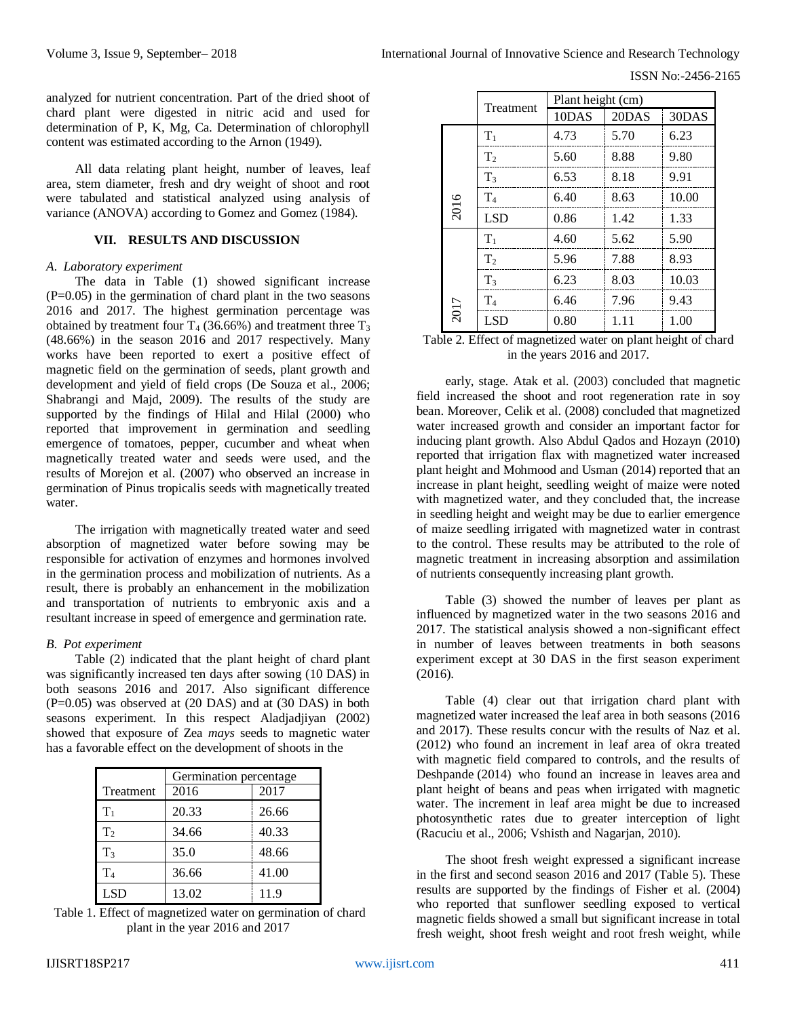ISSN No:-2456-2165

analyzed for nutrient concentration. Part of the dried shoot of chard plant were digested in nitric acid and used for determination of P, K, Mg, Ca. Determination of chlorophyll content was estimated according to the Arnon (1949).

All data relating plant height, number of leaves, leaf area, stem diameter, fresh and dry weight of shoot and root were tabulated and statistical analyzed using analysis of variance (ANOVA) according to Gomez and Gomez (1984).

#### **VII. RESULTS AND DISCUSSION**

#### *A. Laboratory experiment*

The data in Table (1) showed significant increase (P=0.05) in the germination of chard plant in the two seasons 2016 and 2017. The highest germination percentage was obtained by treatment four  $T_4$  (36.66%) and treatment three  $T_3$ (48.66%) in the season 2016 and 2017 respectively. Many works have been reported to exert a positive effect of magnetic field on the germination of seeds, plant growth and development and yield of field crops (De Souza et al., 2006; Shabrangi and Majd, 2009). The results of the study are supported by the findings of Hilal and Hilal (2000) who reported that improvement in germination and seedling emergence of tomatoes, pepper, cucumber and wheat when magnetically treated water and seeds were used, and the results of Morejon et al. (2007) who observed an increase in germination of Pinus tropicalis seeds with magnetically treated water.

The irrigation with magnetically treated water and seed absorption of magnetized water before sowing may be responsible for activation of enzymes and hormones involved in the germination process and mobilization of nutrients. As a result, there is probably an enhancement in the mobilization and transportation of nutrients to embryonic axis and a resultant increase in speed of emergence and germination rate.

## *B. Pot experiment*

Table (2) indicated that the plant height of chard plant was significantly increased ten days after sowing (10 DAS) in both seasons 2016 and 2017. Also significant difference  $(P=0.05)$  was observed at  $(20 \text{ DAS})$  and at  $(30 \text{ DAS})$  in both seasons experiment. In this respect Aladjadjiyan (2002) showed that exposure of Zea *mays* seeds to magnetic water has a favorable effect on the development of shoots in the

|                | Germination percentage |       |  |
|----------------|------------------------|-------|--|
| Treatment      | 2016                   | 2017  |  |
| $T_1$          | 20.33                  | 26.66 |  |
| T <sub>2</sub> | 34.66                  | 40.33 |  |
| T <sub>3</sub> | 35.0                   | 48.66 |  |
| T <sub>4</sub> | 36.66                  | 41.00 |  |
| LSD            | 13.02                  | 11.9  |  |

Table 1. Effect of magnetized water on germination of chard plant in the year 2016 and 2017

|      |                | Plant height (cm) |       |       |  |
|------|----------------|-------------------|-------|-------|--|
|      | Treatment      | 10DAS             | 20DAS | 30DAS |  |
|      | $T_1$          | 4.73              | 5.70  | 6.23  |  |
|      | T <sub>2</sub> | 5.60              | 8.88  | 9.80  |  |
|      | $T_3$          | 6.53              | 8.18  | 9.91  |  |
| 2016 | T <sub>4</sub> | 6.40              | 8.63  | 10.00 |  |
|      | <b>LSD</b>     | 0.86              | 1.42  | 1.33  |  |
|      | $T_1$          | 4.60              | 5.62  | 5.90  |  |
|      | $T_2$          | 5.96              | 7.88  | 8.93  |  |
|      | $T_3$          | 6.23              | 8.03  | 10.03 |  |
|      | T <sub>4</sub> | 6.46              | 7.96  | 9.43  |  |
| 2017 | LSD            | 0.80              | 1.11  | 1.00  |  |

Table 2. Effect of magnetized water on plant height of chard in the years 2016 and 2017.

early, stage. Atak et al. (2003) concluded that magnetic field increased the shoot and root regeneration rate in soy bean. Moreover, Celik et al. (2008) concluded that magnetized water increased growth and consider an important factor for inducing plant growth. Also Abdul Qados and Hozayn (2010) reported that irrigation flax with magnetized water increased plant height and Mohmood and Usman (2014) reported that an increase in plant height, seedling weight of maize were noted with magnetized water, and they concluded that, the increase in seedling height and weight may be due to earlier emergence of maize seedling irrigated with magnetized water in contrast to the control. These results may be attributed to the role of magnetic treatment in increasing absorption and assimilation of nutrients consequently increasing plant growth.

Table (3) showed the number of leaves per plant as influenced by magnetized water in the two seasons 2016 and 2017. The statistical analysis showed a non-significant effect in number of leaves between treatments in both seasons experiment except at 30 DAS in the first season experiment (2016).

Table (4) clear out that irrigation chard plant with magnetized water increased the leaf area in both seasons (2016 and 2017). These results concur with the results of Naz et al. (2012) who found an increment in leaf area of okra treated with magnetic field compared to controls, and the results of Deshpande (2014) who found an increase in leaves area and plant height of beans and peas when irrigated with magnetic water. The increment in leaf area might be due to increased photosynthetic rates due to greater interception of light (Racuciu et al., 2006; Vshisth and Nagarjan, 2010).

The shoot fresh weight expressed a significant increase in the first and second season 2016 and 2017 (Table 5). These results are supported by the findings of Fisher et al. (2004) who reported that sunflower seedling exposed to vertical magnetic fields showed a small but significant increase in total fresh weight, shoot fresh weight and root fresh weight, while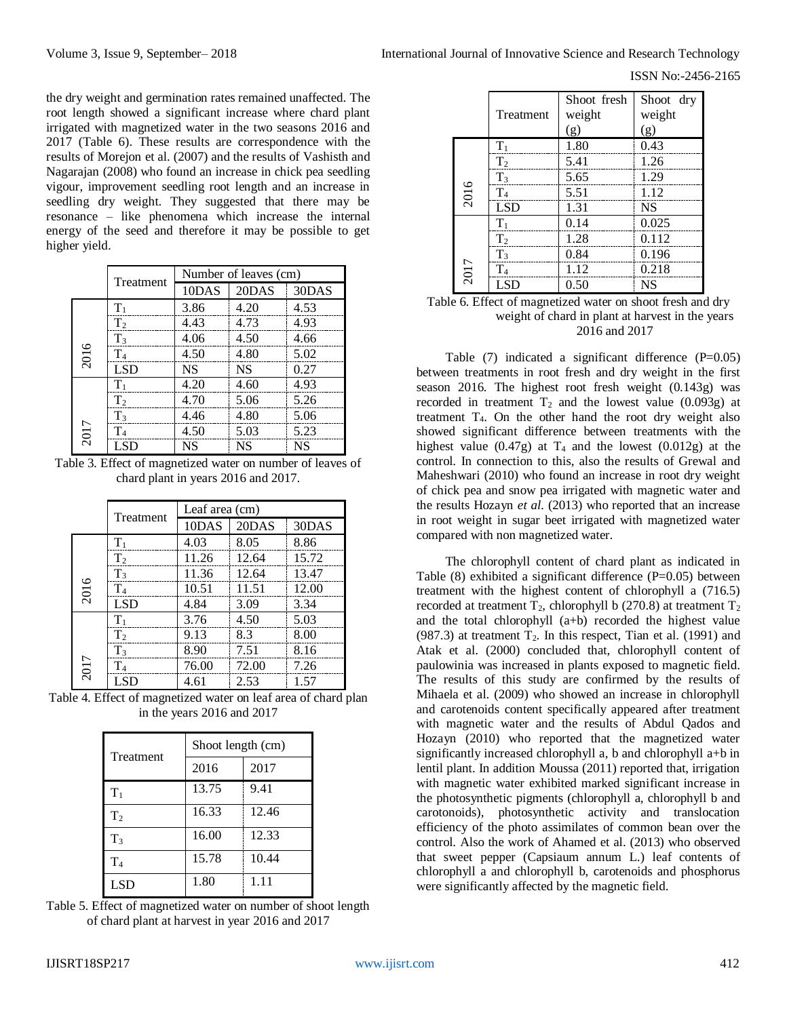ISSN No:-2456-2165

the dry weight and germination rates remained unaffected. The root length showed a significant increase where chard plant irrigated with magnetized water in the two seasons 2016 and 2017 (Table 6). These results are correspondence with the results of Morejon et al. (2007) and the results of Vashisth and Nagarajan (2008) who found an increase in chick pea seedling vigour, improvement seedling root length and an increase in seedling dry weight. They suggested that there may be resonance – like phenomena which increase the internal energy of the seed and therefore it may be possible to get higher yield.

|      |                |           | Number of leaves (cm) |           |  |
|------|----------------|-----------|-----------------------|-----------|--|
|      | Treatment      | 10DAS     | 20DAS                 | 30DAS     |  |
|      | $T_1$          | 3.86      | 4.20                  | 4.53      |  |
|      | T <sub>2</sub> | 4.43      | 4.73                  | 4.93      |  |
|      | T <sub>3</sub> | 4.06      | 4.50                  | 4.66      |  |
| 2016 | T <sub>4</sub> | 4.50      | 4.80                  | 5.02      |  |
|      | <b>LSD</b>     | <b>NS</b> | <b>NS</b>             | 0.27      |  |
| 2017 | $T_{1}$        | 4.20      | 4.60                  | 4.93      |  |
|      | T <sub>2</sub> | 4.70      | 5.06                  | 5.26      |  |
|      | $T_3$          | 4.46      | 4.80                  | 5.06      |  |
|      | $\rm T_4$      | 4.50      | 5.03                  | 5.23      |  |
|      | LSD            | <b>NS</b> | <b>NS</b>             | <b>NS</b> |  |

Table 3. Effect of magnetized water on number of leaves of chard plant in years 2016 and 2017.

|           |                | Leaf area (cm) |       |       |
|-----------|----------------|----------------|-------|-------|
| Treatment |                | 10DAS          | 20DAS | 30DAS |
|           | $T_1$          | 4.03           | 8.05  | 8.86  |
| 2016      | T <sub>2</sub> | 11.26          | 12.64 | 15.72 |
|           | $T_3$          | 11.36          | 12.64 | 13.47 |
|           | $\rm T_4$      | 10.51          | 11.51 | 12.00 |
|           | <b>LSD</b>     | 4.84           | 3.09  | 3.34  |
| 2017      | $\rm T_1$      | 3.76           | 4.50  | 5.03  |
|           | T <sub>2</sub> | 9.13           | 8.3   | 8.00  |
|           | $T_3$          | 8.90           | 7.51  | 8.16  |
|           | $\rm T_4$      | 76.00          | 72.00 | 7.26  |
|           | LSD.           | 4.61           | 2.53  | 1.57  |

Table 4. Effect of magnetized water on leaf area of chard plan in the years 2016 and 2017

| Treatment      | Shoot length (cm) |       |  |
|----------------|-------------------|-------|--|
|                | 2016              | 2017  |  |
| $T_1$          | 13.75             | 9.41  |  |
| T <sub>2</sub> | 16.33             | 12.46 |  |
| T <sub>3</sub> | 16.00             | 12.33 |  |
| $\rm T_4$      | 15.78             | 10.44 |  |
| LSD            | 1.80              | 1.11  |  |

Table 5. Effect of magnetized water on number of shoot length of chard plant at harvest in year 2016 and 2017

|      | Treatment      | Shoot fresh<br>weight | Shoot dry<br>weight |
|------|----------------|-----------------------|---------------------|
|      |                | (g)                   | (g)                 |
|      | $T_1$          | 1.80                  | 0.43                |
|      | T <sub>2</sub> | 5.41                  | 1.26                |
|      | $T_3$          | 5.65                  | 1.29                |
| 2016 | $T_4$          | 5.51                  | 1.12                |
|      | <b>LSD</b>     | 1.31                  | <b>NS</b>           |
|      | $T_1$          | 0.14                  | 0.025               |
|      | T <sub>2</sub> | 1.28                  | 0.112               |
|      | $T_3$          | 0.84                  | 0.196               |
| 2017 | T <sub>4</sub> | 1.12                  | 0.218               |
|      | LSD            | 0.50                  | <b>NS</b>           |

### Table 6. Effect of magnetized water on shoot fresh and dry weight of chard in plant at harvest in the years 2016 and 2017

Table  $(7)$  indicated a significant difference  $(P=0.05)$ between treatments in root fresh and dry weight in the first season 2016. The highest root fresh weight (0.143g) was recorded in treatment  $T_2$  and the lowest value (0.093g) at treatment T4. On the other hand the root dry weight also showed significant difference between treatments with the highest value  $(0.47g)$  at T<sub>4</sub> and the lowest  $(0.012g)$  at the control. In connection to this, also the results of Grewal and Maheshwari (2010) who found an increase in root dry weight of chick pea and snow pea irrigated with magnetic water and the results Hozayn *et al*. (2013) who reported that an increase in root weight in sugar beet irrigated with magnetized water compared with non magnetized water.

The chlorophyll content of chard plant as indicated in Table  $(8)$  exhibited a significant difference  $(P=0.05)$  between treatment with the highest content of chlorophyll a (716.5) recorded at treatment  $T_2$ , chlorophyll b (270.8) at treatment  $T_2$ and the total chlorophyll (a+b) recorded the highest value (987.3) at treatment  $T_2$ . In this respect, Tian et al. (1991) and Atak et al. (2000) concluded that, chlorophyll content of paulowinia was increased in plants exposed to magnetic field. The results of this study are confirmed by the results of Mihaela et al. (2009) who showed an increase in chlorophyll and carotenoids content specifically appeared after treatment with magnetic water and the results of Abdul Qados and Hozayn (2010) who reported that the magnetized water significantly increased chlorophyll a, b and chlorophyll a+b in lentil plant. In addition Moussa (2011) reported that, irrigation with magnetic water exhibited marked significant increase in the photosynthetic pigments (chlorophyll a, chlorophyll b and carotonoids), photosynthetic activity and translocation efficiency of the photo assimilates of common bean over the control. Also the work of Ahamed et al. (2013) who observed that sweet pepper (Capsiaum annum L.) leaf contents of chlorophyll a and chlorophyll b, carotenoids and phosphorus were significantly affected by the magnetic field.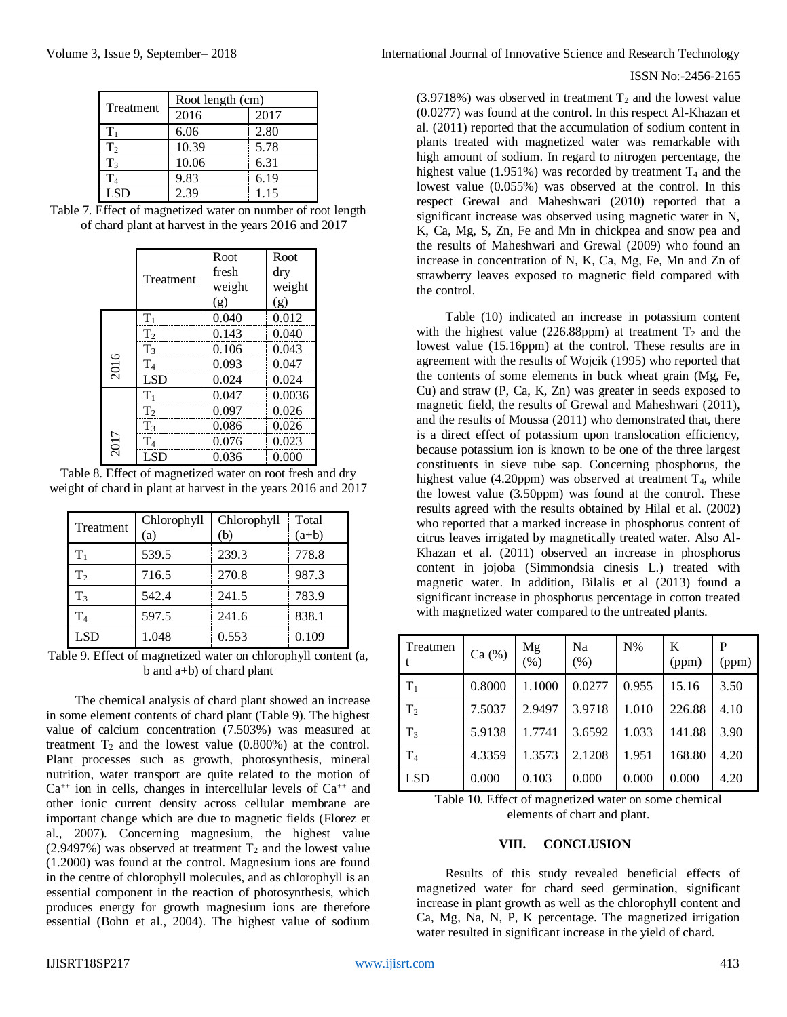| Treatment      | Root length (cm) |      |  |
|----------------|------------------|------|--|
|                | 2016             | 2017 |  |
| $T_1$          | 6.06             | 2.80 |  |
| T <sub>2</sub> | 10.39            | 5.78 |  |
| T <sub>3</sub> | 10.06            | 6.31 |  |
| $\rm T_4$      | 9.83             | 6.19 |  |
| LSD.           | 2.39             | 1.15 |  |

Table 7. Effect of magnetized water on number of root length of chard plant at harvest in the years 2016 and 2017

|      |                | Root   | Root   |
|------|----------------|--------|--------|
|      | Treatment      | fresh  | dry    |
|      |                | weight | weight |
|      |                | (g)    | (g)    |
|      | $T_1$          | 0.040  | 0.012  |
| 2016 | T <sub>2</sub> | 0.143  | 0.040  |
|      | T <sub>3</sub> | 0.106  | 0.043  |
|      | T <sub>4</sub> | 0.093  | 0.047  |
|      | <b>LSD</b>     | 0.024  | 0.024  |
|      | $T_1$          | 0.047  | 0.0036 |
| 2017 | T <sub>2</sub> | 0.097  | 0.026  |
|      | T <sub>3</sub> | 0.086  | 0.026  |
|      | $\rm T_4$      | 0.076  | 0.023  |
|      | LSD            | 0.036  | 0.000  |

Table 8. Effect of magnetized water on root fresh and dry weight of chard in plant at harvest in the years 2016 and 2017

| Treatment      | Chlorophyll<br>(a) | Chlorophyll<br>(b) | Total<br>$(a+b)$ |
|----------------|--------------------|--------------------|------------------|
| $T_1$          | 539.5              | 239.3              | 778.8            |
| T <sub>2</sub> | 716.5              | 270.8              | 987.3            |
| T <sub>3</sub> | 542.4              | 241.5              | 783.9            |
| T <sub>4</sub> | 597.5              | 241.6              | 838.1            |
| LSD            | 1.048              | 0.553              | 0.109            |

Table 9. Effect of magnetized water on chlorophyll content (a, b and a+b) of chard plant

The chemical analysis of chard plant showed an increase in some element contents of chard plant (Table 9). The highest value of calcium concentration (7.503%) was measured at treatment  $T_2$  and the lowest value (0.800%) at the control. Plant processes such as growth, photosynthesis, mineral nutrition, water transport are quite related to the motion of  $Ca^{++}$  ion in cells, changes in intercellular levels of  $Ca^{++}$  and other ionic current density across cellular membrane are important change which are due to magnetic fields (Florez et al., 2007). Concerning magnesium, the highest value (2.9497%) was observed at treatment  $T_2$  and the lowest value (1.2000) was found at the control. Magnesium ions are found in the centre of chlorophyll molecules, and as chlorophyll is an essential component in the reaction of photosynthesis, which produces energy for growth magnesium ions are therefore essential (Bohn et al., 2004). The highest value of sodium

# ISSN No:-2456-2165

 $(3.9718\%)$  was observed in treatment  $T_2$  and the lowest value (0.0277) was found at the control. In this respect Al-Khazan et al. (2011) reported that the accumulation of sodium content in plants treated with magnetized water was remarkable with high amount of sodium. In regard to nitrogen percentage, the highest value (1.951%) was recorded by treatment  $T_4$  and the lowest value (0.055%) was observed at the control. In this respect Grewal and Maheshwari (2010) reported that a significant increase was observed using magnetic water in N, K, Ca, Mg, S, Zn, Fe and Mn in chickpea and snow pea and the results of Maheshwari and Grewal (2009) who found an increase in concentration of N, K, Ca, Mg, Fe, Mn and Zn of strawberry leaves exposed to magnetic field compared with the control.

Table (10) indicated an increase in potassium content with the highest value (226.88ppm) at treatment  $T_2$  and the lowest value (15.16ppm) at the control. These results are in agreement with the results of Wojcik (1995) who reported that the contents of some elements in buck wheat grain (Mg, Fe, Cu) and straw (P, Ca, K, Zn) was greater in seeds exposed to magnetic field, the results of Grewal and Maheshwari (2011), and the results of Moussa (2011) who demonstrated that, there is a direct effect of potassium upon translocation efficiency, because potassium ion is known to be one of the three largest constituents in sieve tube sap. Concerning phosphorus, the highest value (4.20ppm) was observed at treatment  $T<sub>4</sub>$ , while the lowest value (3.50ppm) was found at the control. These results agreed with the results obtained by Hilal et al. (2002) who reported that a marked increase in phosphorus content of citrus leaves irrigated by magnetically treated water. Also Al-Khazan et al. (2011) observed an increase in phosphorus content in jojoba (Simmondsia cinesis L.) treated with magnetic water. In addition, Bilalis et al (2013) found a significant increase in phosphorus percentage in cotton treated with magnetized water compared to the untreated plants.

| Treatmen       | Ca (%) | Mg<br>$(\% )$ | Na<br>$(\%)$ | $N\%$ | K<br>(ppm) | P<br>(ppm) |
|----------------|--------|---------------|--------------|-------|------------|------------|
| $T_1$          | 0.8000 | 1.1000        | 0.0277       | 0.955 | 15.16      | 3.50       |
| T <sub>2</sub> | 7.5037 | 2.9497        | 3.9718       | 1.010 | 226.88     | 4.10       |
| $T_3$          | 5.9138 | 1.7741        | 3.6592       | 1.033 | 141.88     | 3.90       |
| T <sub>4</sub> | 4.3359 | 1.3573        | 2.1208       | 1.951 | 168.80     | 4.20       |
| <b>LSD</b>     | 0.000  | 0.103         | 0.000        | 0.000 | 0.000      | 4.20       |

Table 10. Effect of magnetized water on some chemical elements of chart and plant.

## **VIII. CONCLUSION**

Results of this study revealed beneficial effects of magnetized water for chard seed germination, significant increase in plant growth as well as the chlorophyll content and Ca, Mg, Na, N, P, K percentage. The magnetized irrigation water resulted in significant increase in the yield of chard.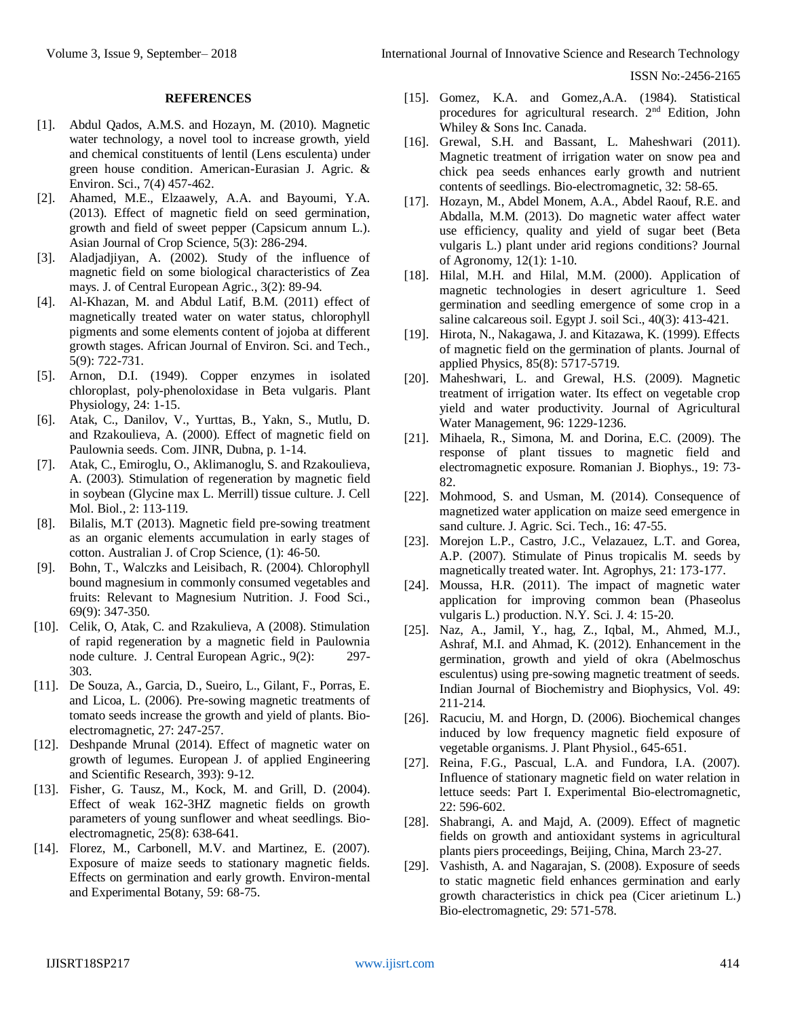ISSN No:-2456-2165

### **REFERENCES**

- [1]. Abdul Qados, A.M.S. and Hozayn, M. (2010). Magnetic water technology, a novel tool to increase growth, yield and chemical constituents of lentil (Lens esculenta) under green house condition. American-Eurasian J. Agric. & Environ. Sci., 7(4) 457-462.
- [2]. Ahamed, M.E., Elzaawely, A.A. and Bayoumi, Y.A. (2013). Effect of magnetic field on seed germination, growth and field of sweet pepper (Capsicum annum L.). Asian Journal of Crop Science, 5(3): 286-294.
- [3]. Aladjadjiyan, A. (2002). Study of the influence of magnetic field on some biological characteristics of Zea mays. J. of Central European Agric., 3(2): 89-94.
- [4]. Al-Khazan, M. and Abdul Latif, B.M. (2011) effect of magnetically treated water on water status, chlorophyll pigments and some elements content of jojoba at different growth stages. African Journal of Environ. Sci. and Tech., 5(9): 722-731.
- [5]. Arnon, D.I. (1949). Copper enzymes in isolated chloroplast, poly-phenoloxidase in Beta vulgaris. Plant Physiology, 24: 1-15.
- [6]. Atak, C., Danilov, V., Yurttas, B., Yakn, S., Mutlu, D. and Rzakoulieva, A. (2000). Effect of magnetic field on Paulownia seeds. Com. JINR, Dubna, p. 1-14.
- [7]. Atak, C., Emiroglu, O., Aklimanoglu, S. and Rzakoulieva, A. (2003). Stimulation of regeneration by magnetic field in soybean (Glycine max L. Merrill) tissue culture. J. Cell Mol. Biol., 2: 113-119.
- [8]. Bilalis, M.T (2013). Magnetic field pre-sowing treatment as an organic elements accumulation in early stages of cotton. Australian J. of Crop Science, (1): 46-50.
- [9]. Bohn, T., Walczks and Leisibach, R. (2004). Chlorophyll bound magnesium in commonly consumed vegetables and fruits: Relevant to Magnesium Nutrition. J. Food Sci., 69(9): 347-350.
- [10]. Celik, O, Atak, C. and Rzakulieva, A (2008). Stimulation of rapid regeneration by a magnetic field in Paulownia node culture. J. Central European Agric., 9(2): 297- 303.
- [11]. De Souza, A., Garcia, D., Sueiro, L., Gilant, F., Porras, E. and Licoa, L. (2006). Pre-sowing magnetic treatments of tomato seeds increase the growth and yield of plants. Bioelectromagnetic, 27: 247-257.
- [12]. Deshpande Mrunal (2014). Effect of magnetic water on growth of legumes. European J. of applied Engineering and Scientific Research, 393): 9-12.
- [13]. Fisher, G. Tausz, M., Kock, M. and Grill, D. (2004). Effect of weak 162-3HZ magnetic fields on growth parameters of young sunflower and wheat seedlings. Bioelectromagnetic, 25(8): 638-641.
- [14]. Florez, M., Carbonell, M.V. and Martinez, E. (2007). Exposure of maize seeds to stationary magnetic fields. Effects on germination and early growth. Environ-mental and Experimental Botany, 59: 68-75.
- [15]. Gomez, K.A. and Gomez, A.A. (1984). Statistical procedures for agricultural research. 2nd Edition, John Whiley & Sons Inc. Canada.
- [16]. Grewal, S.H. and Bassant, L. Maheshwari (2011). Magnetic treatment of irrigation water on snow pea and chick pea seeds enhances early growth and nutrient contents of seedlings. Bio-electromagnetic, 32: 58-65.
- [17]. Hozayn, M., Abdel Monem, A.A., Abdel Raouf, R.E. and Abdalla, M.M. (2013). Do magnetic water affect water use efficiency, quality and yield of sugar beet (Beta vulgaris L.) plant under arid regions conditions? Journal of Agronomy, 12(1): 1-10.
- [18]. Hilal, M.H. and Hilal, M.M. (2000). Application of magnetic technologies in desert agriculture 1. Seed germination and seedling emergence of some crop in a saline calcareous soil. Egypt J. soil Sci., 40(3): 413-421.
- [19]. Hirota, N., Nakagawa, J. and Kitazawa, K. (1999). Effects of magnetic field on the germination of plants. Journal of applied Physics, 85(8): 5717-5719.
- [20]. Maheshwari, L. and Grewal, H.S. (2009). Magnetic treatment of irrigation water. Its effect on vegetable crop yield and water productivity. Journal of Agricultural Water Management, 96: 1229-1236.
- [21]. Mihaela, R., Simona, M. and Dorina, E.C. (2009). The response of plant tissues to magnetic field and electromagnetic exposure. Romanian J. Biophys., 19: 73- 82.
- [22]. Mohmood, S. and Usman, M. (2014). Consequence of magnetized water application on maize seed emergence in sand culture. J. Agric. Sci. Tech., 16: 47-55.
- [23]. Morejon L.P., Castro, J.C., Velazauez, L.T. and Gorea, A.P. (2007). Stimulate of Pinus tropicalis M. seeds by magnetically treated water. Int. Agrophys, 21: 173-177.
- [24]. Moussa, H.R. (2011). The impact of magnetic water application for improving common bean (Phaseolus vulgaris L.) production. N.Y. Sci. J. 4: 15-20.
- [25]. Naz, A., Jamil, Y., hag, Z., Iqbal, M., Ahmed, M.J., Ashraf, M.I. and Ahmad, K. (2012). Enhancement in the germination, growth and yield of okra (Abelmoschus esculentus) using pre-sowing magnetic treatment of seeds. Indian Journal of Biochemistry and Biophysics, Vol. 49: 211-214.
- [26]. Racuciu, M. and Horgn, D. (2006). Biochemical changes induced by low frequency magnetic field exposure of vegetable organisms. J. Plant Physiol., 645-651.
- [27]. Reina, F.G., Pascual, L.A. and Fundora, I.A. (2007). Influence of stationary magnetic field on water relation in lettuce seeds: Part I. Experimental Bio-electromagnetic, 22: 596-602.
- [28]. Shabrangi, A. and Majd, A. (2009). Effect of magnetic fields on growth and antioxidant systems in agricultural plants piers proceedings, Beijing, China, March 23-27.
- [29]. Vashisth, A. and Nagarajan, S. (2008). Exposure of seeds to static magnetic field enhances germination and early growth characteristics in chick pea (Cicer arietinum L.) Bio-electromagnetic, 29: 571-578.